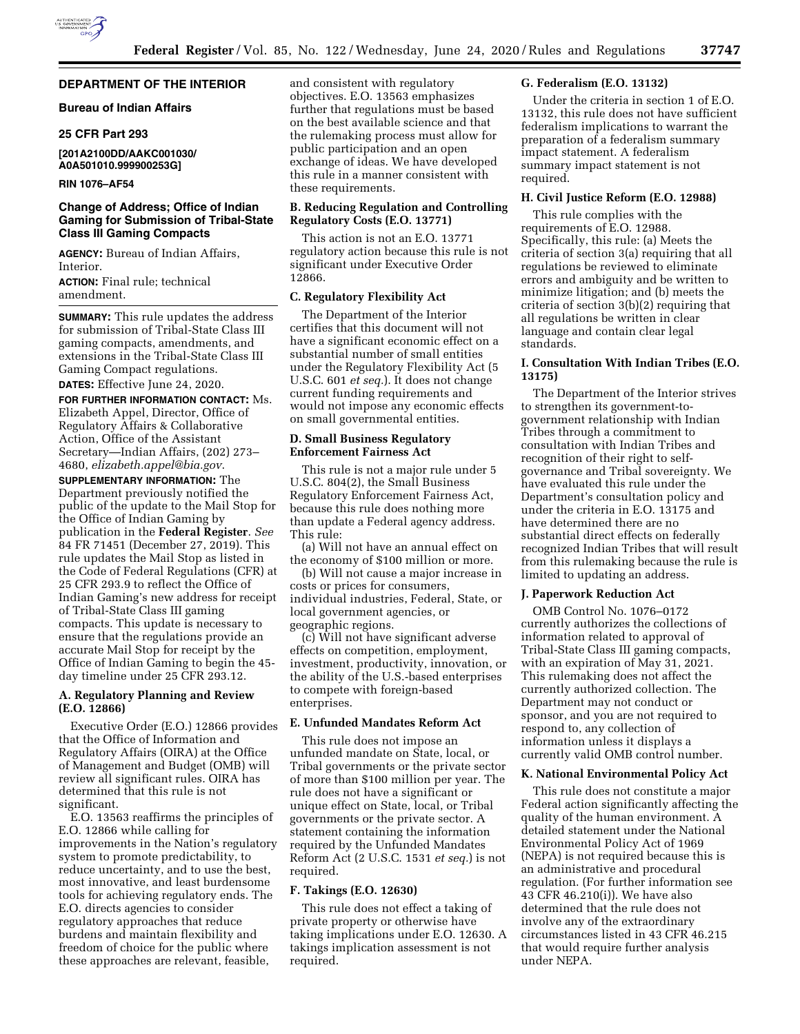# **DEPARTMENT OF THE INTERIOR**

# **Bureau of Indian Affairs**

### **25 CFR Part 293**

# **[201A2100DD/AAKC001030/ A0A501010.999900253G]**

## **RIN 1076–AF54**

# **Change of Address; Office of Indian Gaming for Submission of Tribal-State Class III Gaming Compacts**

**AGENCY:** Bureau of Indian Affairs, Interior.

**ACTION:** Final rule; technical amendment.

**SUMMARY:** This rule updates the address for submission of Tribal-State Class III gaming compacts, amendments, and extensions in the Tribal-State Class III Gaming Compact regulations.

# **DATES:** Effective June 24, 2020. **FOR FURTHER INFORMATION CONTACT:** Ms. Elizabeth Appel, Director, Office of Regulatory Affairs & Collaborative Action, Office of the Assistant Secretary—Indian Affairs, (202) 273– 4680, *[elizabeth.appel@bia.gov](mailto:elizabeth.appel@bia.gov)*.

**SUPPLEMENTARY INFORMATION:** The Department previously notified the public of the update to the Mail Stop for the Office of Indian Gaming by publication in the **Federal Register**. *See*  84 FR 71451 (December 27, 2019). This rule updates the Mail Stop as listed in the Code of Federal Regulations (CFR) at 25 CFR 293.9 to reflect the Office of Indian Gaming's new address for receipt of Tribal-State Class III gaming compacts. This update is necessary to ensure that the regulations provide an accurate Mail Stop for receipt by the Office of Indian Gaming to begin the 45 day timeline under 25 CFR 293.12.

# **A. Regulatory Planning and Review (E.O. 12866)**

Executive Order (E.O.) 12866 provides that the Office of Information and Regulatory Affairs (OIRA) at the Office of Management and Budget (OMB) will review all significant rules. OIRA has determined that this rule is not significant.

E.O. 13563 reaffirms the principles of E.O. 12866 while calling for improvements in the Nation's regulatory system to promote predictability, to reduce uncertainty, and to use the best, most innovative, and least burdensome tools for achieving regulatory ends. The E.O. directs agencies to consider regulatory approaches that reduce burdens and maintain flexibility and freedom of choice for the public where these approaches are relevant, feasible,

and consistent with regulatory objectives. E.O. 13563 emphasizes further that regulations must be based on the best available science and that the rulemaking process must allow for public participation and an open exchange of ideas. We have developed this rule in a manner consistent with these requirements.

# **B. Reducing Regulation and Controlling Regulatory Costs (E.O. 13771)**

This action is not an E.O. 13771 regulatory action because this rule is not significant under Executive Order 12866.

## **C. Regulatory Flexibility Act**

The Department of the Interior certifies that this document will not have a significant economic effect on a substantial number of small entities under the Regulatory Flexibility Act (5 U.S.C. 601 *et seq.*). It does not change current funding requirements and would not impose any economic effects on small governmental entities.

## **D. Small Business Regulatory Enforcement Fairness Act**

This rule is not a major rule under 5 U.S.C. 804(2), the Small Business Regulatory Enforcement Fairness Act, because this rule does nothing more than update a Federal agency address. This rule:

(a) Will not have an annual effect on the economy of \$100 million or more.

(b) Will not cause a major increase in costs or prices for consumers, individual industries, Federal, State, or local government agencies, or geographic regions.

(c) Will not have significant adverse effects on competition, employment, investment, productivity, innovation, or the ability of the U.S.-based enterprises to compete with foreign-based enterprises.

# **E. Unfunded Mandates Reform Act**

This rule does not impose an unfunded mandate on State, local, or Tribal governments or the private sector of more than \$100 million per year. The rule does not have a significant or unique effect on State, local, or Tribal governments or the private sector. A statement containing the information required by the Unfunded Mandates Reform Act (2 U.S.C. 1531 *et seq.*) is not required.

### **F. Takings (E.O. 12630)**

This rule does not effect a taking of private property or otherwise have taking implications under E.O. 12630. A takings implication assessment is not required.

## **G. Federalism (E.O. 13132)**

Under the criteria in section 1 of E.O. 13132, this rule does not have sufficient federalism implications to warrant the preparation of a federalism summary impact statement. A federalism summary impact statement is not required.

#### **H. Civil Justice Reform (E.O. 12988)**

This rule complies with the requirements of E.O. 12988. Specifically, this rule: (a) Meets the criteria of section 3(a) requiring that all regulations be reviewed to eliminate errors and ambiguity and be written to minimize litigation; and (b) meets the criteria of section 3(b)(2) requiring that all regulations be written in clear language and contain clear legal standards.

### **I. Consultation With Indian Tribes (E.O. 13175)**

The Department of the Interior strives to strengthen its government-togovernment relationship with Indian Tribes through a commitment to consultation with Indian Tribes and recognition of their right to selfgovernance and Tribal sovereignty. We have evaluated this rule under the Department's consultation policy and under the criteria in E.O. 13175 and have determined there are no substantial direct effects on federally recognized Indian Tribes that will result from this rulemaking because the rule is limited to updating an address.

### **J. Paperwork Reduction Act**

OMB Control No. 1076–0172 currently authorizes the collections of information related to approval of Tribal-State Class III gaming compacts, with an expiration of May 31, 2021. This rulemaking does not affect the currently authorized collection. The Department may not conduct or sponsor, and you are not required to respond to, any collection of information unless it displays a currently valid OMB control number.

# **K. National Environmental Policy Act**

This rule does not constitute a major Federal action significantly affecting the quality of the human environment. A detailed statement under the National Environmental Policy Act of 1969 (NEPA) is not required because this is an administrative and procedural regulation. (For further information see 43 CFR 46.210(i)). We have also determined that the rule does not involve any of the extraordinary circumstances listed in 43 CFR 46.215 that would require further analysis under NEPA.